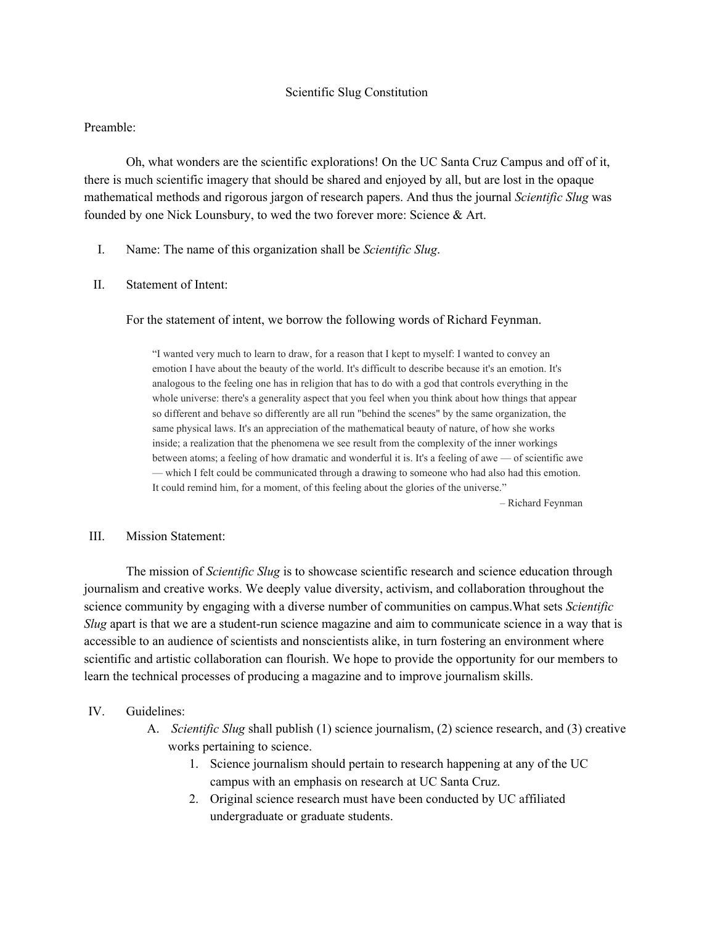### Scientific Slug Constitution

### Preamble:

Oh, what wonders are the scientific explorations! On the UC Santa Cruz Campus and off of it, there is much scientific imagery that should be shared and enjoyed by all, but are lost in the opaque mathematical methods and rigorous jargon of research papers. And thus the journal *Scientific Slug* was founded by one Nick Lounsbury, to wed the two forever more: Science & Art.

I. Name: The name of this organization shall be *Scientific Slug*.

### II. Statement of Intent:

For the statement of intent, we borrow the following words of Richard Feynman.

"I wanted very much to learn to draw, for a reason that I kept to myself: I wanted to convey an emotion I have about the beauty of the world. It's difficult to describe because it's an emotion. It's analogous to the feeling one has in religion that has to do with a god that controls everything in the whole universe: there's a generality aspect that you feel when you think about how things that appear so different and behave so differently are all run "behind the scenes" by the same organization, the same physical laws. It's an appreciation of the mathematical beauty of nature, of how she works inside; a realization that the phenomena we see result from the complexity of the inner workings between atoms; a feeling of how dramatic and wonderful it is. It's a feeling of awe — of scientific awe — which I felt could be communicated through a drawing to someone who had also had this emotion. It could remind him, for a moment, of this feeling about the glories of the universe."

– Richard Feynman

#### III. Mission Statement:

The mission of *Scientific Slug* is to showcase scientific research and science education through journalism and creative works. We deeply value diversity, activism, and collaboration throughout the science community by engaging with a diverse number of communities on campus.What sets *Scientific Slug* apart is that we are a student-run science magazine and aim to communicate science in a way that is accessible to an audience of scientists and nonscientists alike, in turn fostering an environment where scientific and artistic collaboration can flourish. We hope to provide the opportunity for our members to learn the technical processes of producing a magazine and to improve journalism skills.

#### IV. Guidelines:

- A. *Scientific Slug* shall publish (1) science journalism, (2) science research, and (3) creative works pertaining to science.
	- 1. Science journalism should pertain to research happening at any of the UC campus with an emphasis on research at UC Santa Cruz.
	- 2. Original science research must have been conducted by UC affiliated undergraduate or graduate students.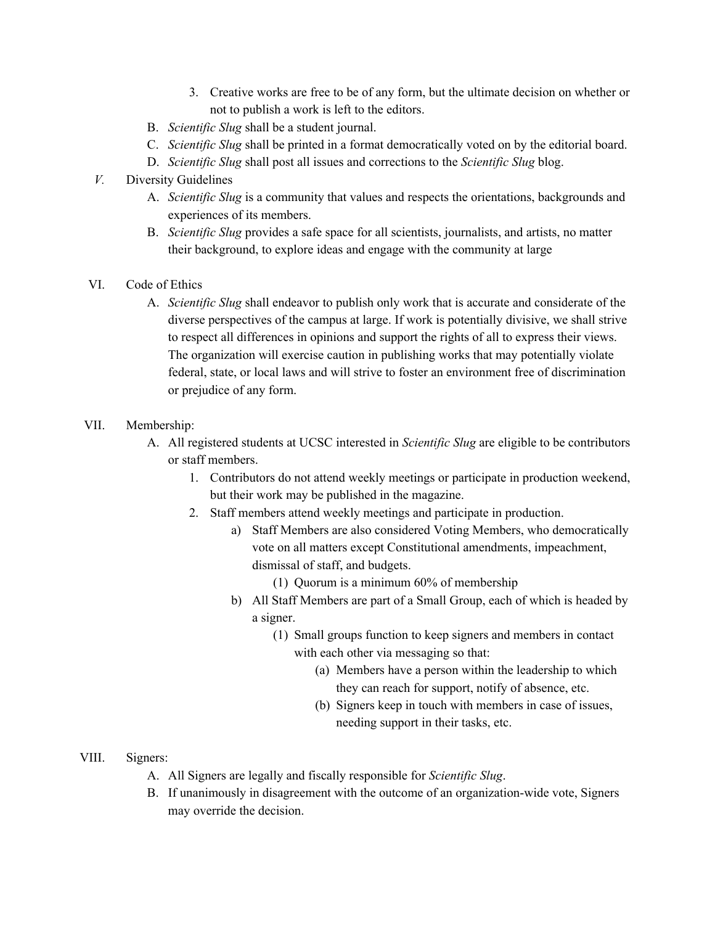- 3. Creative works are free to be of any form, but the ultimate decision on whether or not to publish a work is left to the editors.
- B. *Scientific Slug* shall be a student journal.
- C. *Scientific Slug* shall be printed in a format democratically voted on by the editorial board.
- D. *Scientific Slug* shall post all issues and corrections to the *Scientific Slug* blog.
- *V.* Diversity Guidelines
	- A. *Scientific Slug* is a community that values and respects the orientations, backgrounds and experiences of its members.
	- B. *Scientific Slug* provides a safe space for all scientists, journalists, and artists, no matter their background, to explore ideas and engage with the community at large
- VI. Code of Ethics
	- A. *Scientific Slug* shall endeavor to publish only work that is accurate and considerate of the diverse perspectives of the campus at large. If work is potentially divisive, we shall strive to respect all differences in opinions and support the rights of all to express their views. The organization will exercise caution in publishing works that may potentially violate federal, state, or local laws and will strive to foster an environment free of discrimination or prejudice of any form.

# VII. Membership:

- A. All registered students at UCSC interested in *Scientific Slug* are eligible to be contributors or staff members.
	- 1. Contributors do not attend weekly meetings or participate in production weekend, but their work may be published in the magazine.
	- 2. Staff members attend weekly meetings and participate in production.
		- a) Staff Members are also considered Voting Members, who democratically vote on all matters except Constitutional amendments, impeachment, dismissal of staff, and budgets.
			- (1) Quorum is a minimum 60% of membership
		- b) All Staff Members are part of a Small Group, each of which is headed by a signer.
			- (1) Small groups function to keep signers and members in contact with each other via messaging so that:
				- (a) Members have a person within the leadership to which they can reach for support, notify of absence, etc.
				- (b) Signers keep in touch with members in case of issues, needing support in their tasks, etc.

## VIII. Signers:

- A. All Signers are legally and fiscally responsible for *Scientific Slug*.
- B. If unanimously in disagreement with the outcome of an organization-wide vote, Signers may override the decision.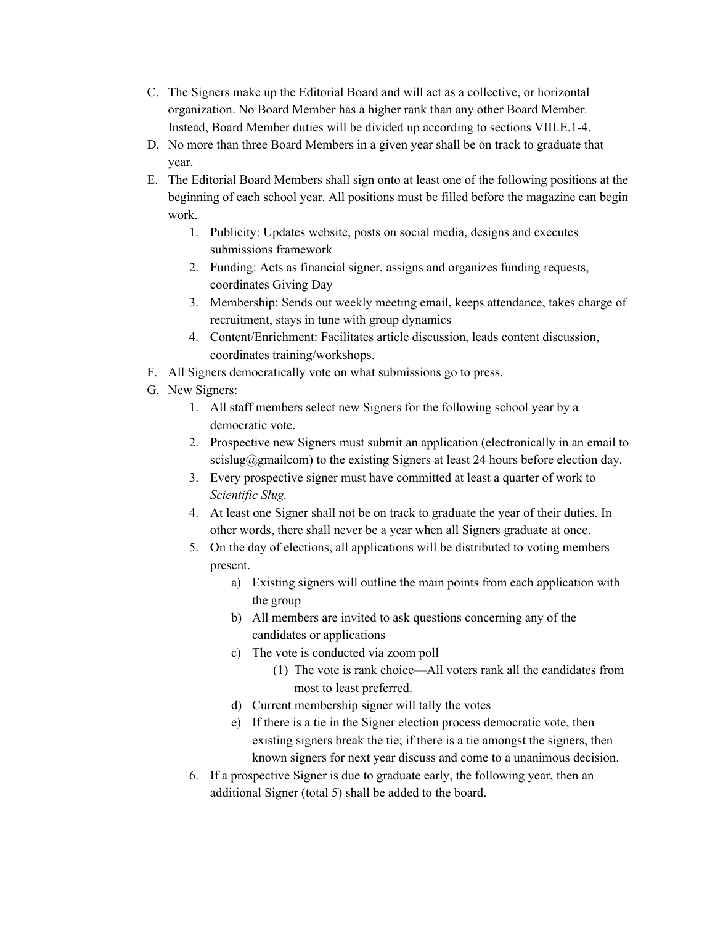- C. The Signers make up the Editorial Board and will act as a collective, or horizontal organization. No Board Member has a higher rank than any other Board Member*.* Instead, Board Member duties will be divided up according to sections VIII.E.1-4.
- D. No more than three Board Members in a given year shall be on track to graduate that year.
- E. The Editorial Board Members shall sign onto at least one of the following positions at the beginning of each school year. All positions must be filled before the magazine can begin work.
	- 1. Publicity: Updates website, posts on social media, designs and executes submissions framework
	- 2. Funding: Acts as financial signer, assigns and organizes funding requests, coordinates Giving Day
	- 3. Membership: Sends out weekly meeting email, keeps attendance, takes charge of recruitment, stays in tune with group dynamics
	- 4. Content/Enrichment: Facilitates article discussion, leads content discussion, coordinates training/workshops.
- F. All Signers democratically vote on what submissions go to press.
- G. New Signers:
	- 1. All staff members select new Signers for the following school year by a democratic vote.
	- 2. Prospective new Signers must submit an application (electronically in an email to scislug@gmailcom) to the existing Signers at least 24 hours before election day.
	- 3. Every prospective signer must have committed at least a quarter of work to *Scientific Slug.*
	- 4. At least one Signer shall not be on track to graduate the year of their duties. In other words, there shall never be a year when all Signers graduate at once.
	- 5. On the day of elections, all applications will be distributed to voting members present.
		- a) Existing signers will outline the main points from each application with the group
		- b) All members are invited to ask questions concerning any of the candidates or applications
		- c) The vote is conducted via zoom poll
			- (1) The vote is rank choice—All voters rank all the candidates from most to least preferred.
		- d) Current membership signer will tally the votes
		- e) If there is a tie in the Signer election process democratic vote, then existing signers break the tie; if there is a tie amongst the signers, then known signers for next year discuss and come to a unanimous decision.
	- 6. If a prospective Signer is due to graduate early, the following year, then an additional Signer (total 5) shall be added to the board.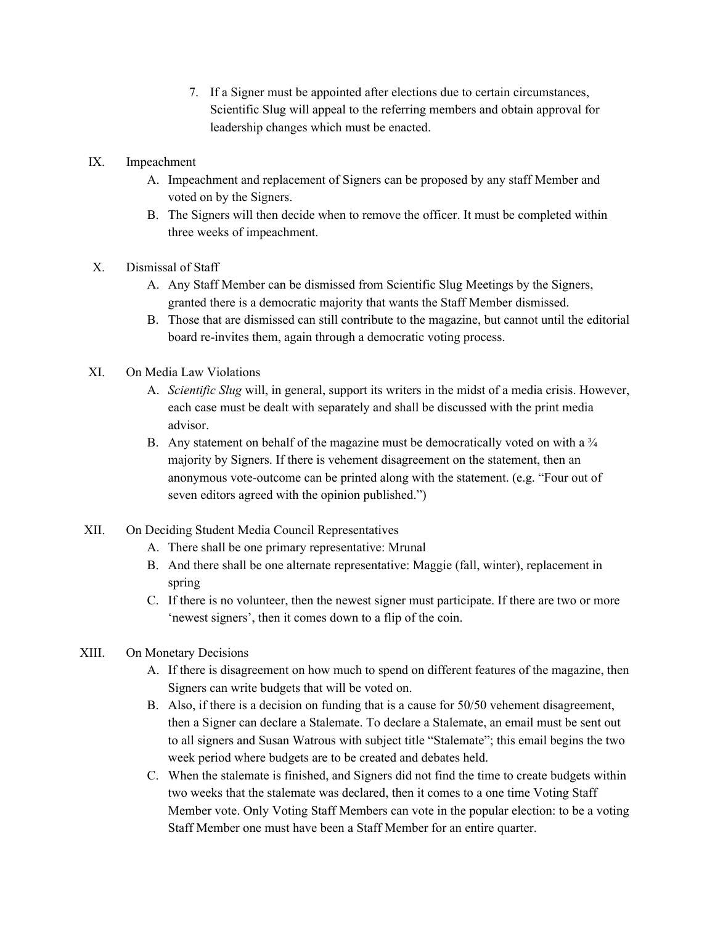- 7. If a Signer must be appointed after elections due to certain circumstances, Scientific Slug will appeal to the referring members and obtain approval for leadership changes which must be enacted.
- IX. Impeachment
	- A. Impeachment and replacement of Signers can be proposed by any staff Member and voted on by the Signers.
	- B. The Signers will then decide when to remove the officer. It must be completed within three weeks of impeachment.
- X. Dismissal of Staff
	- A. Any Staff Member can be dismissed from Scientific Slug Meetings by the Signers, granted there is a democratic majority that wants the Staff Member dismissed.
	- B. Those that are dismissed can still contribute to the magazine, but cannot until the editorial board re-invites them, again through a democratic voting process.
- XI. On Media Law Violations
	- A. *Scientific Slug* will, in general, support its writers in the midst of a media crisis. However, each case must be dealt with separately and shall be discussed with the print media advisor.
	- B. Any statement on behalf of the magazine must be democratically voted on with a  $\frac{3}{4}$ majority by Signers. If there is vehement disagreement on the statement, then an anonymous vote-outcome can be printed along with the statement. (e.g. "Four out of seven editors agreed with the opinion published.")
- XII. On Deciding Student Media Council Representatives
	- A. There shall be one primary representative: Mrunal
	- B. And there shall be one alternate representative: Maggie (fall, winter), replacement in spring
	- C. If there is no volunteer, then the newest signer must participate. If there are two or more 'newest signers', then it comes down to a flip of the coin.
- XIII. On Monetary Decisions
	- A. If there is disagreement on how much to spend on different features of the magazine, then Signers can write budgets that will be voted on.
	- B. Also, if there is a decision on funding that is a cause for 50/50 vehement disagreement, then a Signer can declare a Stalemate. To declare a Stalemate, an email must be sent out to all signers and Susan Watrous with subject title "Stalemate"; this email begins the two week period where budgets are to be created and debates held.
	- C. When the stalemate is finished, and Signers did not find the time to create budgets within two weeks that the stalemate was declared, then it comes to a one time Voting Staff Member vote. Only Voting Staff Members can vote in the popular election: to be a voting Staff Member one must have been a Staff Member for an entire quarter.